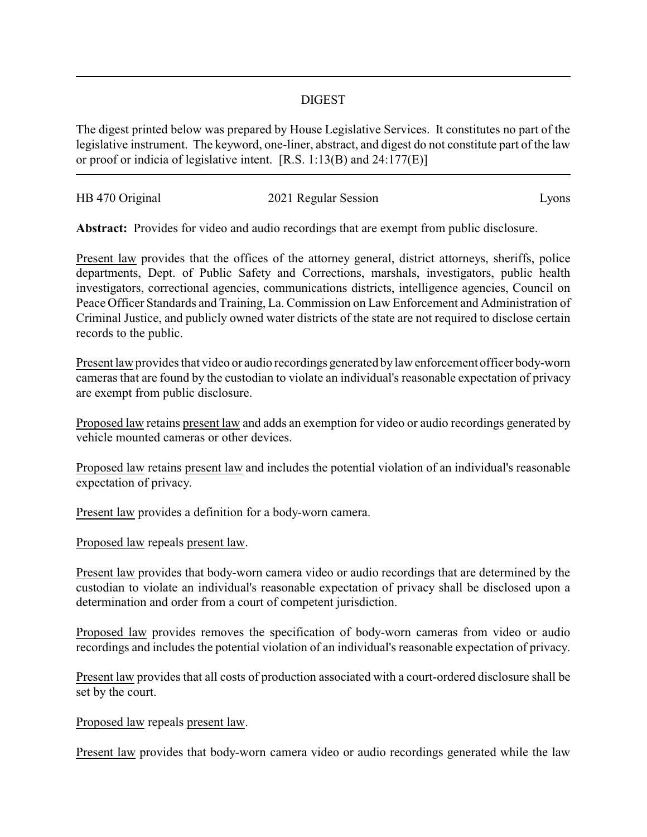## DIGEST

The digest printed below was prepared by House Legislative Services. It constitutes no part of the legislative instrument. The keyword, one-liner, abstract, and digest do not constitute part of the law or proof or indicia of legislative intent. [R.S. 1:13(B) and 24:177(E)]

| HB 470 Original | 2021 Regular Session | Lyons |
|-----------------|----------------------|-------|
|                 |                      |       |

**Abstract:** Provides for video and audio recordings that are exempt from public disclosure.

Present law provides that the offices of the attorney general, district attorneys, sheriffs, police departments, Dept. of Public Safety and Corrections, marshals, investigators, public health investigators, correctional agencies, communications districts, intelligence agencies, Council on Peace Officer Standards and Training, La. Commission on Law Enforcement and Administration of Criminal Justice, and publicly owned water districts of the state are not required to disclose certain records to the public.

Present law provides that video or audio recordings generated by law enforcement officer body-worn cameras that are found by the custodian to violate an individual's reasonable expectation of privacy are exempt from public disclosure.

Proposed law retains present law and adds an exemption for video or audio recordings generated by vehicle mounted cameras or other devices.

Proposed law retains present law and includes the potential violation of an individual's reasonable expectation of privacy.

Present law provides a definition for a body-worn camera.

Proposed law repeals present law.

Present law provides that body-worn camera video or audio recordings that are determined by the custodian to violate an individual's reasonable expectation of privacy shall be disclosed upon a determination and order from a court of competent jurisdiction.

Proposed law provides removes the specification of body-worn cameras from video or audio recordings and includes the potential violation of an individual's reasonable expectation of privacy.

Present law provides that all costs of production associated with a court-ordered disclosure shall be set by the court.

Proposed law repeals present law.

Present law provides that body-worn camera video or audio recordings generated while the law